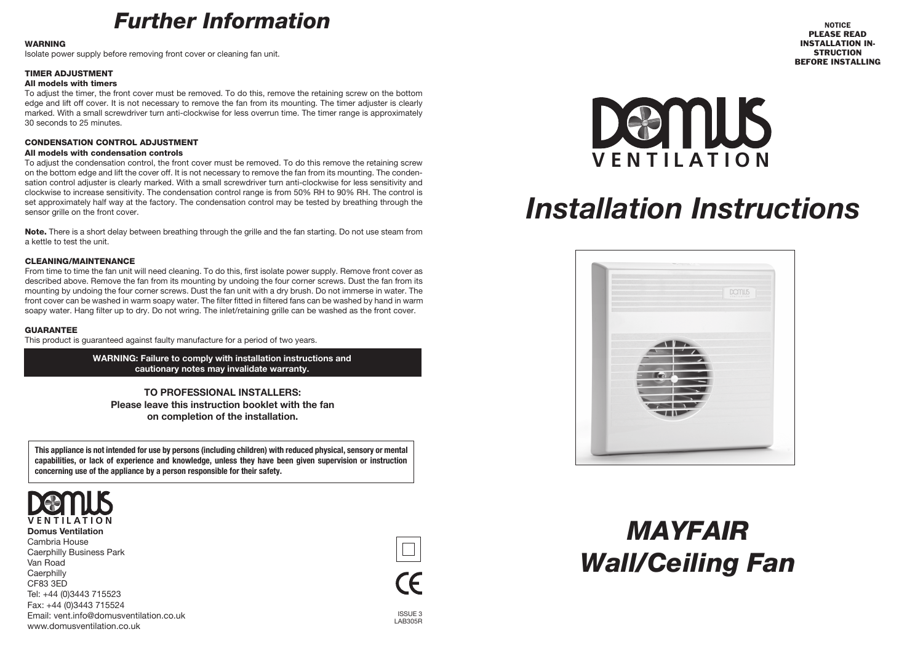## *Further Information*

#### **WARNING**

Isolate power supply before removing front cover or cleaning fan unit.

#### TIMER ADJUSTMENT

#### All models with timers

To adjust the timer, the front cover must be removed. To do this, remove the retaining screw on the bottom edge and lift off cover. It is not necessary to remove the fan from its mounting. The timer adjuster is clearly marked. With a small screwdriver turn anti-clockwise for less overrun time. The timer range is approximately 30 seconds to 25 minutes.

#### CONDENSATION CONTROL ADJUSTMENT

#### All models with condensation controls

To adjust the condensation control, the front cover must be removed. To do this remove the retaining screw on the bottom edge and lift the cover off. It is not necessary to remove the fan from its mounting. The condensation control adjuster is clearly marked. With a small screwdriver turn anti-clockwise for less sensitivity and clockwise to increase sensitivity. The condensation control range is from 50% RH to 90% RH. The control is set approximately half way at the factory. The condensation control may be tested by breathing through the sensor grille on the front cover.

Note. There is a short delay between breathing through the grille and the fan starting. Do not use steam from a kettle to test the unit.

#### CLEANING/MAINTENANCE

From time to time the fan unit will need cleaning. To do this, first isolate power supply. Remove front cover as described above. Remove the fan from its mounting by undoing the four corner screws. Dust the fan from its mounting by undoing the four corner screws. Dust the fan unit with a dry brush. Do not immerse in water. The front cover can be washed in warm soapy water. The filter fitted in filtered fans can be washed by hand in warm soapy water. Hang filter up to dry. Do not wring. The inlet/retaining grille can be washed as the front cover.

#### GUARANTEE

This product is guaranteed against faulty manufacture for a period of two years.

**WARNING: Failure to comply with installation instructions and cautionary notes may invalidate warranty.**

**TO PROFESSIONAL INSTALLERS: Please leave this instruction booklet with the fan on completion of the installation.**

This appliance is not intended for use by persons (including children) with reduced physical, sensory or mental **capabilities, or lack of experience and knowledge, unless they have been given supervision or instruction concerning use of the appliance by a person responsible for their safety.**



**Domus Ventilation** Cambria House Caerphilly Business Park Van Road **Caerphilly** CF83 3ED Tel: +44 (0)3443 715523 Fax: +44 (0)3443 715524 Email: vent.info@domusventilation.co.uk www.domusventilation.co.uk





# *Installation Instructions*



# *MAYFAIR Wall/Ceiling Fan*

ISSUE 3 LAB305R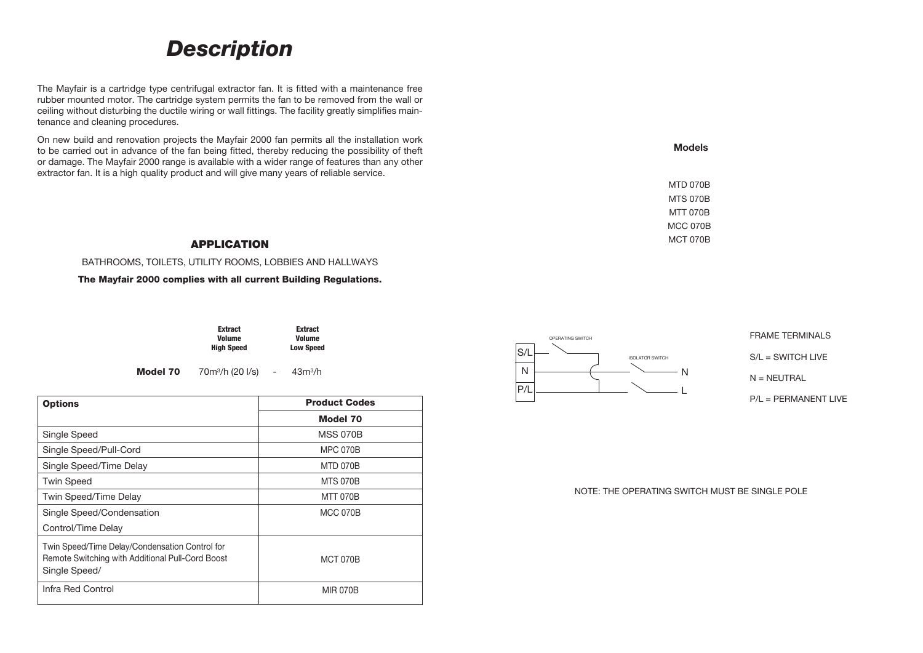### *Description*

The Mayfair is a cartridge type centrifugal extractor fan. It is fitted with a maintenance free rubber mounted motor. The cartridge system permits the fan to be removed from the wall or ceiling without disturbing the ductile wiring or wall fittings. The facility greatly simplifies maintenance and cleaning procedures.

On new build and renovation projects the Mayfair 2000 fan permits all the installation work to be carried out in advance of the fan being fitted, thereby reducing the possibility of theft or damage. The Mayfair 2000 range is available with a wider range of features than any other extractor fan. It is a high quality product and will give many years of reliable service.

#### APPLICATION

BATHROOMS, TOILETS, UTILITY ROOMS, LOBBIES AND HALLWAYS

The Mayfair 2000 complies with all current Building Regulations.

| <b>Extract</b> | <b>Extract</b>   |
|----------------|------------------|
| <b>Volume</b>  | <b>Volume</b>    |
| High Speed     | <b>Low Speed</b> |

Model 70 70m3/h (20 l/s) - 43m3/h

| <b>Options</b>                                                                                                      | <b>Product Codes</b> |  |
|---------------------------------------------------------------------------------------------------------------------|----------------------|--|
|                                                                                                                     | Model 70             |  |
| Single Speed                                                                                                        | <b>MSS 070B</b>      |  |
| Single Speed/Pull-Cord                                                                                              | <b>MPC 070B</b>      |  |
| Single Speed/Time Delay                                                                                             | <b>MTD 070B</b>      |  |
| <b>Twin Speed</b>                                                                                                   | <b>MTS 070B</b>      |  |
| Twin Speed/Time Delay                                                                                               | <b>MTT 070B</b>      |  |
| Single Speed/Condensation                                                                                           | <b>MCC 070B</b>      |  |
| Control/Time Delay                                                                                                  |                      |  |
| Twin Speed/Time Delay/Condensation Control for<br>Remote Switching with Additional Pull-Cord Boost<br>Single Speed/ | <b>MCT 070B</b>      |  |
| Infra Red Control                                                                                                   | <b>MIR 070B</b>      |  |



**FRAME TERMINALS** S/L = SWITCH LIVE  $N = NEUTRAL$ P/L = PERMANENT LIVE

NOTE: THE OPERATING SWITCH MUST BE SINGLE POLE

L

**Models**

MTD 070B MTS 070B MTT 070B MCC 070B MCT 070B

OPERATING SWITCH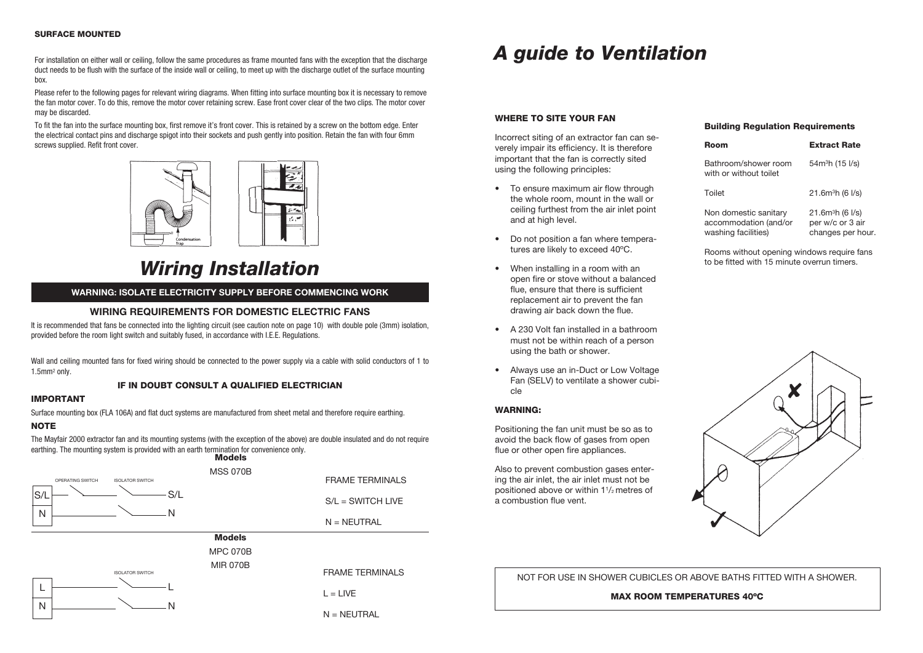#### SURFACE MOUNTED

For installation on either wall or ceiling, follow the same procedures as frame mounted fans with the exception that the discharge duct needs to be flush with the surface of the inside wall or ceiling, to meet up with the discharge outlet of the surface mounting box.

Please refer to the following pages for relevant wiring diagrams. When fitting into surface mounting box it is necessary to remove the fan motor cover. To do this, remove the motor cover retaining screw. Ease front cover clear of the two clips. The motor cover may be discarded.

To fit the fan into the surface mounting box, first remove it's front cover. This is retained by a screw on the bottom edge. Enter the electrical contact pins and discharge spigot into their sockets and push gently into position. Retain the fan with four 6mm screws supplied. Refit front cover.



### *Wiring Installation*

#### **WARNING: ISOLATE ELECTRICITY SUPPLY BEFORE COMMENCING WORK**

#### **WIRING REQUIREMENTS FOR DOMESTIC ELECTRIC FANS**

It is recommended that fans be connected into the lighting circuit (see caution note on page 10) with double pole (3mm) isolation, provided before the room light switch and suitably fused, in accordance with I.E.E. Regulations.

Wall and ceiling mounted fans for fixed wiring should be connected to the power supply via a cable with solid conductors of 1 to 1.5mm2 only.

#### IF IN DOUBT CONSULT A QUALIFIED ELECTRICIAN

#### IMPORTANT

Surface mounting box (FLA 106A) and flat duct systems are manufactured from sheet metal and therefore require earthing.

#### NOTE

The Mayfair 2000 extractor fan and its mounting systems (with the exception of the above) are double insulated and do not require earthing. The mounting system is provided with an earth termination for convenience only.



## *A guide to A guide to Ventilation*

#### WHERE TO SITE YOUR FAN

Incorrect siting of an extractor fan can severely impair its efficiency. It is therefore important that the fan is correctly sited using the following principles:

- To ensure maximum air flow through the whole room, mount in the wall or ceiling furthest from the air inlet point and at high level.
- Do not position a fan where temperatures are likely to exceed 40ºC.
- When installing in a room with an open fire or stove without a balanced flue, ensure that there is sufficient replacement air to prevent the fan drawing air back down the flue.
- A 230 Volt fan installed in a bathroom must not be within reach of a person using the bath or shower.
- Always use an in-Duct or Low Voltage Fan (SELV) to ventilate a shower cubicle

#### WARNING:

Positioning the fan unit must be so as to avoid the back flow of gases from open flue or other open fire appliances.

Also to prevent combustion gases entering the air inlet, the air inlet must not be positioned above or within 1<sup>1</sup>/<sub>2</sub> metres of a combustion flue vent.

#### Building Regulation Requirements

| Room                                                                  | <b>Extract Rate</b>                                                               |
|-----------------------------------------------------------------------|-----------------------------------------------------------------------------------|
| Bathroom/shower room<br>with or without toilet                        | 54m <sup>3</sup> h (15 l/s)                                                       |
| Toilet                                                                | 21.6m <sup>3</sup> h (6 <sup>1</sup> /s)                                          |
| Non domestic sanitary<br>accommodation (and/or<br>washing facilities) | 21.6m <sup>3</sup> h (6 <sup>1</sup> /s)<br>per w/c or 3 air<br>changes per hour. |

Rooms without opening windows require fans to be fitted with 15 minute overrun timers.



NOT FOR USE IN SHOWER CUBICLES OR ABOVE BATHS FITTED WITH A SHOWER.

MAX ROOM TEMPERATURES 40ºC